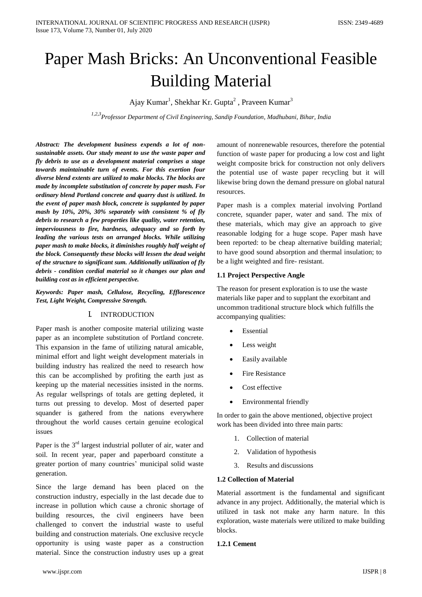# Paper Mash Bricks: An Unconventional Feasible Building Material

Ajay Kumar<sup>1</sup>, Shekhar Kr. Gupta<sup>2</sup> , Praveen Kumar<sup>3</sup>

*1,2,3Professor Department of Civil Engineering, Sandip Foundation, Madhubani, Bihar, India*

*Abstract: The development business expends a lot of nonsustainable assets. Our study meant to use the waste paper and fly debris to use as a development material comprises a stage towards maintainable turn of events. For this exertion four diverse blend extents are utilized to make blocks. The blocks are made by incomplete substitution of concrete by paper mash. For ordinary blend Portland concrete and quarry dust is utilized. In the event of paper mash block, concrete is supplanted by paper mash by 10%, 20%, 30% separately with consistent % of fly debris to research a few properties like quality, water retention, imperviousness to fire, hardness, adequacy and so forth by leading the various tests on arranged blocks. While utilizing paper mash to make blocks, it diminishes roughly half weight of the block. Consequently these blocks will lessen the dead weight of the structure to significant sum. Additionally utilization of fly debris - condition cordial material so it changes our plan and building cost as in efficient perspective.*

*Keywords: Paper mash, Cellulose, Recycling, Efflorescence Test, Light Weight, Compressive Strength.*

#### I. INTRODUCTION

Paper mash is another composite material utilizing waste paper as an incomplete substitution of Portland concrete. This expansion in the fame of utilizing natural amicable, minimal effort and light weight development materials in building industry has realized the need to research how this can be accomplished by profiting the earth just as keeping up the material necessities insisted in the norms. As regular wellsprings of totals are getting depleted, it turns out pressing to develop. Most of deserted paper squander is gathered from the nations everywhere throughout the world causes certain genuine ecological issues

Paper is the  $3<sup>rd</sup>$  largest industrial polluter of air, water and soil. In recent year, paper and paperboard constitute a greater portion of many countries' municipal solid waste generation.

Since the large demand has been placed on the construction industry, especially in the last decade due to increase in pollution which cause a chronic shortage of building resources, the civil engineers have been challenged to convert the industrial waste to useful building and construction materials. One exclusive recycle opportunity is using waste paper as a construction material. Since the construction industry uses up a great

amount of nonrenewable resources, therefore the potential function of waste paper for producing a low cost and light weight composite brick for construction not only delivers the potential use of waste paper recycling but it will likewise bring down the demand pressure on global natural resources.

Paper mash is a complex material involving Portland concrete, squander paper, water and sand. The mix of these materials, which may give an approach to give reasonable lodging for a huge scope. Paper mash have been reported: to be cheap alternative building material; to have good sound absorption and thermal insulation; to be a light weighted and fire- resistant.

## **1.1 Project Perspective Angle**

The reason for present exploration is to use the waste materials like paper and to supplant the exorbitant and uncommon traditional structure block which fulfills the accompanying qualities:

- Essential
- Less weight
- Easily available
- Fire Resistance
- Cost effective
- Environmental friendly

In order to gain the above mentioned, objective project work has been divided into three main parts:

- 1. Collection of material
- 2. Validation of hypothesis
- 3. Results and discussions

#### **1.2 Collection of Material**

Material assortment is the fundamental and significant advance in any project. Additionally, the material which is utilized in task not make any harm nature. In this exploration, waste materials were utilized to make building blocks.

#### **1.2.1 Cement**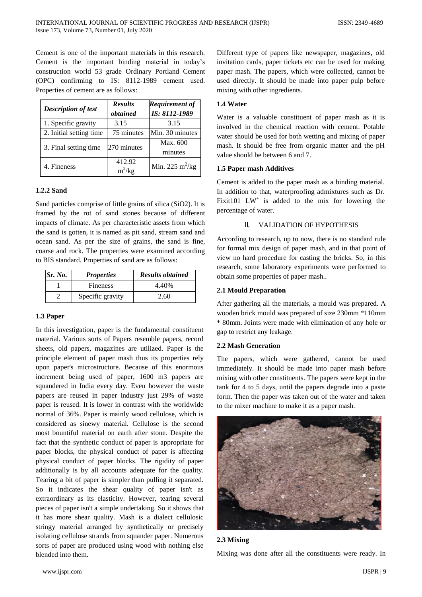Cement is one of the important materials in this research. Cement is the important binding material in today's construction world 53 grade Ordinary Portland Cement (OPC) confirming to IS: 8112-1989 cement used. Properties of cement are as follows:

| <b>Description of test</b> | <b>Results</b><br>obtained | <b>Requirement of</b><br>IS: 8112-1989 |
|----------------------------|----------------------------|----------------------------------------|
| 1. Specific gravity        | 3.15                       | 3.15                                   |
| 2. Initial setting time    | 75 minutes                 | Min. 30 minutes                        |
| 3. Final setting time      | 270 minutes                | Max. 600<br>minutes                    |
| 4. Fineness                | 412.92<br>$m^2/kg$         | Min. 225 $m^2/kg$                      |

#### **1.2.2 Sand**

Sand particles comprise of little grains of silica (SiO2). It is framed by the rot of sand stones because of different impacts of climate. As per characteristic assets from which the sand is gotten, it is named as pit sand, stream sand and ocean sand. As per the size of grains, the sand is fine, coarse and rock. The properties were examined according to BIS standard. Properties of sand are as follows:

| Sr. No. | <b>Properties</b> | <b>Results obtained</b> |
|---------|-------------------|-------------------------|
|         | <b>Fineness</b>   | 4.40%                   |
|         | Specific gravity  | 2.60                    |

## **1.3 Paper**

In this investigation, paper is the fundamental constituent material. Various sorts of Papers resemble papers, record sheets, old papers, magazines are utilized. Paper is the principle element of paper mash thus its properties rely upon paper's microstructure. Because of this enormous increment being used of paper, 1600 m3 papers are squandered in India every day. Even however the waste papers are reused in paper industry just 29% of waste paper is reused. It is lower in contrast with the worldwide normal of 36%. Paper is mainly wood cellulose, which is considered as sinewy material. Cellulose is the second most bountiful material on earth after stone. Despite the fact that the synthetic conduct of paper is appropriate for paper blocks, the physical conduct of paper is affecting physical conduct of paper blocks. The rigidity of paper additionally is by all accounts adequate for the quality. Tearing a bit of paper is simpler than pulling it separated. So it indicates the shear quality of paper isn't as extraordinary as its elasticity. However, tearing several pieces of paper isn't a simple undertaking. So it shows that it has more shear quality. Mash is a dialect cellulosic stringy material arranged by synthetically or precisely isolating cellulose strands from squander paper. Numerous sorts of paper are produced using wood with nothing else blended into them.

Different type of papers like newspaper, magazines, old invitation cards, paper tickets etc can be used for making paper mash. The papers, which were collected, cannot be used directly. It should be made into paper pulp before mixing with other ingredients.

#### **1.4 Water**

Water is a valuable constituent of paper mash as it is involved in the chemical reaction with cement. Potable water should be used for both wetting and mixing of paper mash. It should be free from organic matter and the pH value should be between 6 and 7.

#### **1.5 Paper mash Additives**

Cement is added to the paper mash as a binding material. In addition to that, waterproofing admixtures such as Dr. Fixit101  $LW^+$  is added to the mix for lowering the percentage of water.

### II. VALIDATION OF HYPOTHESIS

According to research, up to now, there is no standard rule for formal mix design of paper mash, and in that point of view no hard procedure for casting the bricks. So, in this research, some laboratory experiments were performed to obtain some properties of paper mash..

#### **2.1 Mould Preparation**

After gathering all the materials, a mould was prepared. A wooden brick mould was prepared of size 230mm \*110mm \* 80mm. Joints were made with elimination of any hole or gap to restrict any leakage.

#### **2.2 Mash Generation**

The papers, which were gathered, cannot be used immediately. It should be made into paper mash before mixing with other constituents. The papers were kept in the tank for 4 to 5 days, until the papers degrade into a paste form. Then the paper was taken out of the water and taken to the mixer machine to make it as a paper mash.



#### **2.3 Mixing**

Mixing was done after all the constituents were ready. In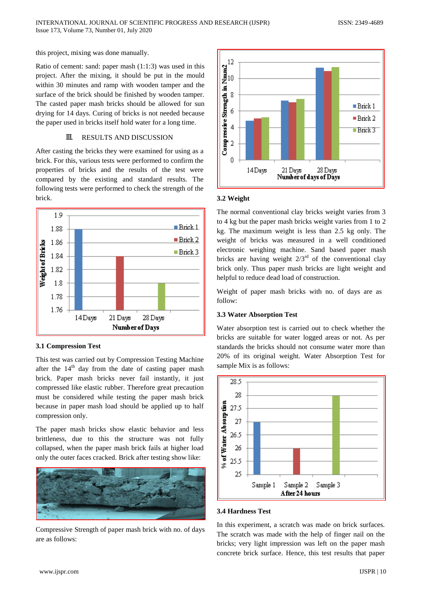this project, mixing was done manually.

Ratio of cement: sand: paper mash (1:1:3) was used in this project. After the mixing, it should be put in the mould within 30 minutes and ramp with wooden tamper and the surface of the brick should be finished by wooden tamper. The casted paper mash bricks should be allowed for sun drying for 14 days. Curing of bricks is not needed because the paper used in bricks itself hold water for a long time.

## III. RESULTS AND DISCUSSION

After casting the bricks they were examined for using as a brick. For this, various tests were performed to confirm the properties of bricks and the results of the test were compared by the existing and standard results. The following tests were performed to check the strength of the brick.



#### **3.1 Compression Test**

This test was carried out by Compression Testing Machine after the  $14<sup>th</sup>$  day from the date of casting paper mash brick. Paper mash bricks never fail instantly, it just compressed like elastic rubber. Therefore great precaution must be considered while testing the paper mash brick because in paper mash load should be applied up to half compression only.

The paper mash bricks show elastic behavior and less brittleness, due to this the structure was not fully collapsed, when the paper mash brick fails at higher load only the outer faces cracked. Brick after testing show like:



Compressive Strength of paper mash brick with no. of days are as follows:



## **3.2 Weight**

The normal conventional clay bricks weight varies from 3 to 4 kg but the paper mash bricks weight varies from 1 to 2 kg. The maximum weight is less than 2.5 kg only. The weight of bricks was measured in a well conditioned electronic weighing machine. Sand based paper mash bricks are having weight  $2/3^{rd}$  of the conventional clay brick only. Thus paper mash bricks are light weight and helpful to reduce dead load of construction.

Weight of paper mash bricks with no. of days are as follow:

## **3.3 Water Absorption Test**

Water absorption test is carried out to check whether the bricks are suitable for water logged areas or not. As per standards the bricks should not consume water more than 20% of its original weight. Water Absorption Test for sample Mix is as follows:



#### **3.4 Hardness Test**

In this experiment, a scratch was made on brick surfaces. The scratch was made with the help of finger nail on the bricks; very light impression was left on the paper mash concrete brick surface. Hence, this test results that paper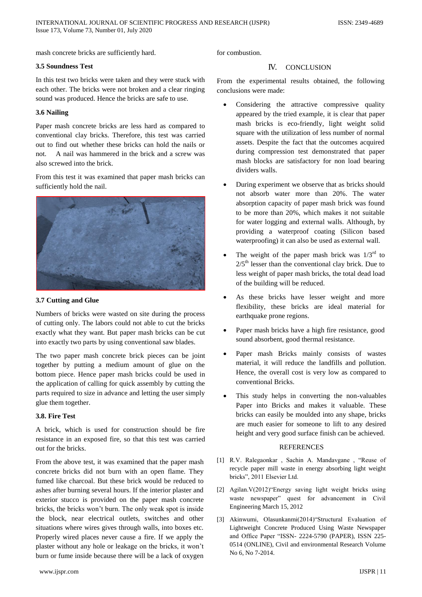mash concrete bricks are sufficiently hard.

## **3.5 Soundness Test**

In this test two bricks were taken and they were stuck with each other. The bricks were not broken and a clear ringing sound was produced. Hence the bricks are safe to use.

## **3.6 Nailing**

Paper mash concrete bricks are less hard as compared to conventional clay bricks. Therefore, this test was carried out to find out whether these bricks can hold the nails or not. A nail was hammered in the brick and a screw was also screwed into the brick.

From this test it was examined that paper mash bricks can sufficiently hold the nail.



## **3.7 Cutting and Glue**

Numbers of bricks were wasted on site during the process of cutting only. The labors could not able to cut the bricks exactly what they want. But paper mash bricks can be cut into exactly two parts by using conventional saw blades.

The two paper mash concrete brick pieces can be joint together by putting a medium amount of glue on the bottom piece. Hence paper mash bricks could be used in the application of calling for quick assembly by cutting the parts required to size in advance and letting the user simply glue them together.

# **3.8. Fire Test**

A brick, which is used for construction should be fire resistance in an exposed fire, so that this test was carried out for the bricks.

From the above test, it was examined that the paper mash concrete bricks did not burn with an open flame. They fumed like charcoal. But these brick would be reduced to ashes after burning several hours. If the interior plaster and exterior stucco is provided on the paper mash concrete bricks, the bricks won't burn. The only weak spot is inside the block, near electrical outlets, switches and other situations where wires gives through walls, into boxes etc. Properly wired places never cause a fire. If we apply the plaster without any hole or leakage on the bricks, it won't burn or fume inside because there will be a lack of oxygen

for combustion.

# IV. CONCLUSION

From the experimental results obtained, the following conclusions were made:

- Considering the attractive compressive quality appeared by the tried example, it is clear that paper mash bricks is eco-friendly, light weight solid square with the utilization of less number of normal assets. Despite the fact that the outcomes acquired during compression test demonstrated that paper mash blocks are satisfactory for non load bearing dividers walls.
- During experiment we observe that as bricks should not absorb water more than 20%. The water absorption capacity of paper mash brick was found to be more than 20%, which makes it not suitable for water logging and external walls. Although, by providing a waterproof coating (Silicon based waterproofing) it can also be used as external wall.
- The weight of the paper mash brick was  $1/3^{rd}$  to  $2/5<sup>th</sup>$  lesser than the conventional clay brick. Due to less weight of paper mash bricks, the total dead load of the building will be reduced.
- As these bricks have lesser weight and more flexibility, these bricks are ideal material for earthquake prone regions.
- Paper mash bricks have a high fire resistance, good sound absorbent, good thermal resistance.
- Paper mash Bricks mainly consists of wastes material, it will reduce the landfills and pollution. Hence, the overall cost is very low as compared to conventional Bricks.
- This study helps in converting the non-valuables Paper into Bricks and makes it valuable. These bricks can easily be moulded into any shape, bricks are much easier for someone to lift to any desired height and very good surface finish can be achieved.

## **REFERENCES**

- [1] R.V. Ralegaonkar , Sachin A. Mandavgane , "Reuse of recycle paper mill waste in energy absorbing light weight bricks", 2011 Elsevier Ltd.
- [2] Agilan.V(2012)"Energy saving light weight bricks using waste newspaper" quest for advancement in Civil Engineering March 15, 2012
- [3] Akinwumi, Olasunkanmi(2014)"Structural Evaluation of Lightweight Concrete Produced Using Waste Newspaper and Office Paper "ISSN- 2224-5790 (PAPER), ISSN 225- 0514 (ONLINE), Civil and environmental Research Volume No 6, No 7-2014.